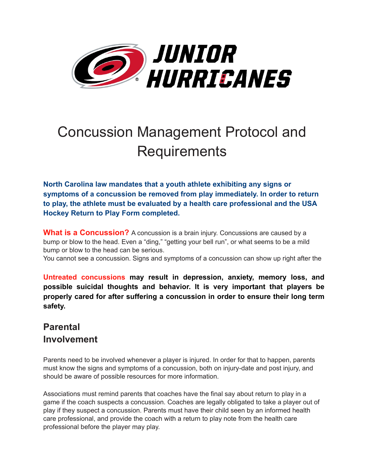

# Concussion Management Protocol and **Requirements**

**North Carolina law mandates that a youth athlete exhibiting any signs or symptoms of a concussion be removed from play immediately. In order to return to play, the athlete must be evaluated by a health care professional and the USA Hockey Return to Play Form completed.** 

**What is a Concussion?** A concussion is a brain injury. Concussions are caused by a bump or blow to the head. Even a "ding," "getting your bell run", or what seems to be a mild bump or blow to the head can be serious.

You cannot see a concussion. Signs and symptoms of a concussion can show up right after the

**Untreated concussions may result in depression, anxiety, memory loss, and possible suicidal thoughts and behavior. It is very important that players be properly cared for after suffering a concussion in order to ensure their long term safety.** 

## **Parental Involvement**

Parents need to be involved whenever a player is injured. In order for that to happen, parents must know the signs and symptoms of a concussion, both on injury-date and post injury, and should be aware of possible resources for more information.

Associations must remind parents that coaches have the final say about return to play in a game if the coach suspects a concussion. Coaches are legally obligated to take a player out of play if they suspect a concussion. Parents must have their child seen by an informed health care professional, and provide the coach with a return to play note from the health care professional before the player may play.